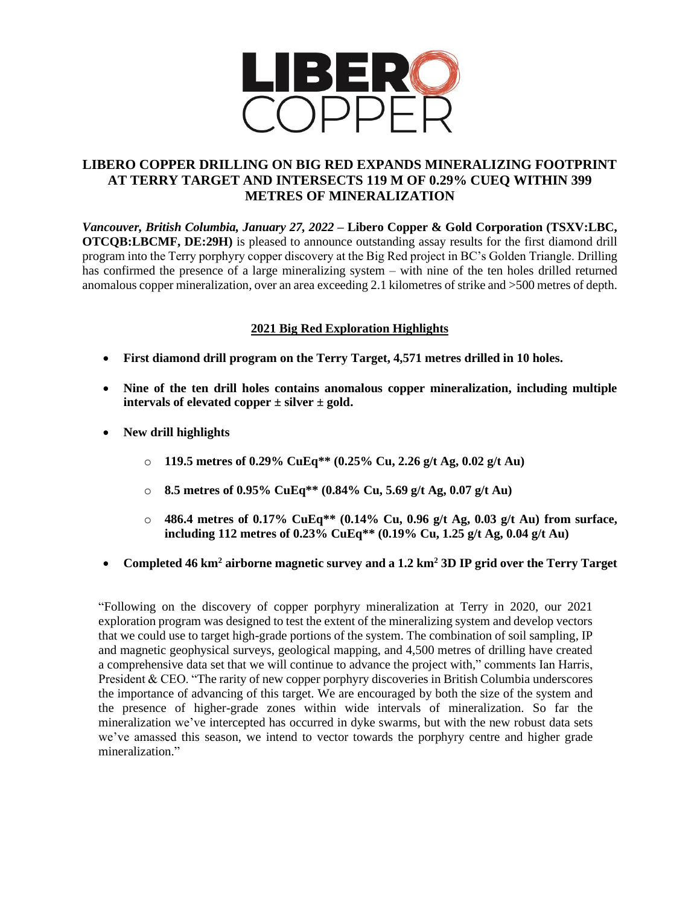

# **LIBERO COPPER DRILLING ON BIG RED EXPANDS MINERALIZING FOOTPRINT AT TERRY TARGET AND INTERSECTS 119 M OF 0.29% CUEQ WITHIN 399 METRES OF MINERALIZATION**

*Vancouver, British Columbia, January 27, 2022* **– Libero Copper & Gold Corporation (TSXV:LBC, OTCQB:LBCMF, DE:29H**) is pleased to announce outstanding assay results for the first diamond drill program into the Terry porphyry copper discovery at the Big Red project in BC's Golden Triangle. Drilling has confirmed the presence of a large mineralizing system – with nine of the ten holes drilled returned anomalous copper mineralization, over an area exceeding 2.1 kilometres of strike and >500 metres of depth.

## **2021 Big Red Exploration Highlights**

- **First diamond drill program on the Terry Target, 4,571 metres drilled in 10 holes.**
- **Nine of the ten drill holes contains anomalous copper mineralization, including multiple intervals of elevated copper ± silver ± gold.**
- **New drill highlights**
	- o **119.5 metres of 0.29% CuEq\*\* (0.25% Cu, 2.26 g/t Ag, 0.02 g/t Au)**
	- o **8.5 metres of 0.95% CuEq\*\* (0.84% Cu, 5.69 g/t Ag, 0.07 g/t Au)**
	- o **486.4 metres of 0.17% CuEq\*\* (0.14% Cu, 0.96 g/t Ag, 0.03 g/t Au) from surface, including 112 metres of 0.23% CuEq\*\* (0.19% Cu, 1.25 g/t Ag, 0.04 g/t Au)**
- **Completed 46 km<sup>2</sup> airborne magnetic survey and a 1.2 km<sup>2</sup> 3D IP grid over the Terry Target**

"Following on the discovery of copper porphyry mineralization at Terry in 2020, our 2021 exploration program was designed to test the extent of the mineralizing system and develop vectors that we could use to target high-grade portions of the system. The combination of soil sampling, IP and magnetic geophysical surveys, geological mapping, and 4,500 metres of drilling have created a comprehensive data set that we will continue to advance the project with," comments Ian Harris, President & CEO. "The rarity of new copper porphyry discoveries in British Columbia underscores the importance of advancing of this target. We are encouraged by both the size of the system and the presence of higher-grade zones within wide intervals of mineralization. So far the mineralization we've intercepted has occurred in dyke swarms, but with the new robust data sets we've amassed this season, we intend to vector towards the porphyry centre and higher grade mineralization<sup>"</sup>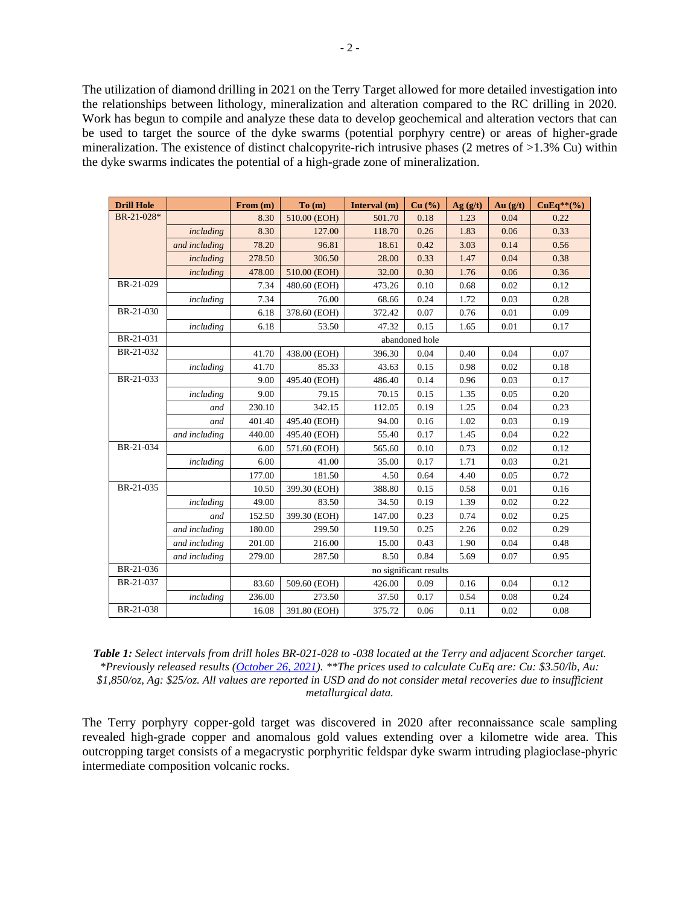The utilization of diamond drilling in 2021 on the Terry Target allowed for more detailed investigation into the relationships between lithology, mineralization and alteration compared to the RC drilling in 2020. Work has begun to compile and analyze these data to develop geochemical and alteration vectors that can be used to target the source of the dyke swarms (potential porphyry centre) or areas of higher-grade mineralization. The existence of distinct chalcopyrite-rich intrusive phases (2 metres of >1.3% Cu) within the dyke swarms indicates the potential of a high-grade zone of mineralization.

| <b>Drill Hole</b> |               | From (m)               | To(m)        | Interval (m) | Cu (%) | Ag(g/t) | Au $(g/t)$ | $CuEq**(\%)$ |  |  |
|-------------------|---------------|------------------------|--------------|--------------|--------|---------|------------|--------------|--|--|
| BR-21-028*        |               | 8.30                   | 510.00 (EOH) | 501.70       | 0.18   | 1.23    | 0.04       | 0.22         |  |  |
|                   | including     | 8.30                   | 127.00       | 118.70       | 0.26   | 1.83    | 0.06       | 0.33         |  |  |
|                   | and including | 78.20                  | 96.81        | 18.61        | 0.42   | 3.03    | 0.14       | 0.56         |  |  |
|                   | including     | 278.50                 | 306.50       | 28.00        | 0.33   | 1.47    | 0.04       | 0.38         |  |  |
|                   | including     | 478.00                 | 510.00 (EOH) | 32.00        | 0.30   | 1.76    | 0.06       | 0.36         |  |  |
| BR-21-029         |               | 7.34                   | 480.60 (EOH) | 473.26       | 0.10   | 0.68    | 0.02       | 0.12         |  |  |
|                   | including     | 7.34                   | 76.00        | 68.66        | 0.24   | 1.72    | 0.03       | 0.28         |  |  |
| BR-21-030         |               | 6.18                   | 378.60 (EOH) | 372.42       | 0.07   | 0.76    | 0.01       | 0.09         |  |  |
|                   | including     | 6.18                   | 53.50        | 47.32        | 0.15   | 1.65    | 0.01       | 0.17         |  |  |
| BR-21-031         |               | abandoned hole         |              |              |        |         |            |              |  |  |
| BR-21-032         |               | 41.70                  | 438.00 (EOH) | 396.30       | 0.04   | 0.40    | 0.04       | 0.07         |  |  |
|                   | including     | 41.70                  | 85.33        | 43.63        | 0.15   | 0.98    | 0.02       | 0.18         |  |  |
| BR-21-033         |               | 9.00                   | 495.40 (EOH) | 486.40       | 0.14   | 0.96    | 0.03       | 0.17         |  |  |
|                   | including     | 9.00                   | 79.15        | 70.15        | 0.15   | 1.35    | 0.05       | 0.20         |  |  |
|                   | and           | 230.10                 | 342.15       | 112.05       | 0.19   | 1.25    | 0.04       | 0.23         |  |  |
|                   | and           | 401.40                 | 495.40 (EOH) | 94.00        | 0.16   | 1.02    | 0.03       | 0.19         |  |  |
|                   | and including | 440.00                 | 495.40 (EOH) | 55.40        | 0.17   | 1.45    | 0.04       | 0.22         |  |  |
| BR-21-034         |               | 6.00                   | 571.60 (EOH) | 565.60       | 0.10   | 0.73    | 0.02       | 0.12         |  |  |
|                   | including     | 6.00                   | 41.00        | 35.00        | 0.17   | 1.71    | 0.03       | 0.21         |  |  |
|                   |               | 177.00                 | 181.50       | 4.50         | 0.64   | 4.40    | 0.05       | 0.72         |  |  |
| BR-21-035         |               | 10.50                  | 399.30 (EOH) | 388.80       | 0.15   | 0.58    | 0.01       | 0.16         |  |  |
|                   | including     | 49.00                  | 83.50        | 34.50        | 0.19   | 1.39    | 0.02       | 0.22         |  |  |
|                   | and           | 152.50                 | 399.30 (EOH) | 147.00       | 0.23   | 0.74    | 0.02       | 0.25         |  |  |
|                   | and including | 180.00                 | 299.50       | 119.50       | 0.25   | 2.26    | 0.02       | 0.29         |  |  |
|                   | and including | 201.00                 | 216.00       | 15.00        | 0.43   | 1.90    | 0.04       | 0.48         |  |  |
|                   | and including | 279.00                 | 287.50       | 8.50         | 0.84   | 5.69    | 0.07       | 0.95         |  |  |
| BR-21-036         |               | no significant results |              |              |        |         |            |              |  |  |
| BR-21-037         |               | 83.60                  | 509.60 (EOH) | 426.00       | 0.09   | 0.16    | 0.04       | 0.12         |  |  |
|                   | including     | 236.00                 | 273.50       | 37.50        | 0.17   | 0.54    | 0.08       | 0.24         |  |  |
| BR-21-038         |               | 16.08                  | 391.80 (EOH) | 375.72       | 0.06   | 0.11    | 0.02       | 0.08         |  |  |

| <b>Table 1:</b> Select intervals from drill holes BR-021-028 to -038 located at the Terry and adjacent Scorcher target.            |  |  |  |  |  |  |
|------------------------------------------------------------------------------------------------------------------------------------|--|--|--|--|--|--|
| *Previously released results (October 26, 2021). **The prices used to calculate CuEq are: Cu: \$3.50/lb, Au:                       |  |  |  |  |  |  |
| $$1,850/\sigma z$ , Ag: \$25/ $\sigma z$ . All values are reported in USD and do not consider metal recoveries due to insufficient |  |  |  |  |  |  |
| metallurgical data.                                                                                                                |  |  |  |  |  |  |

The Terry porphyry copper-gold target was discovered in 2020 after reconnaissance scale sampling revealed high-grade copper and anomalous gold values extending over a kilometre wide area. This outcropping target consists of a megacrystic porphyritic feldspar dyke swarm intruding plagioclase-phyric intermediate composition volcanic rocks.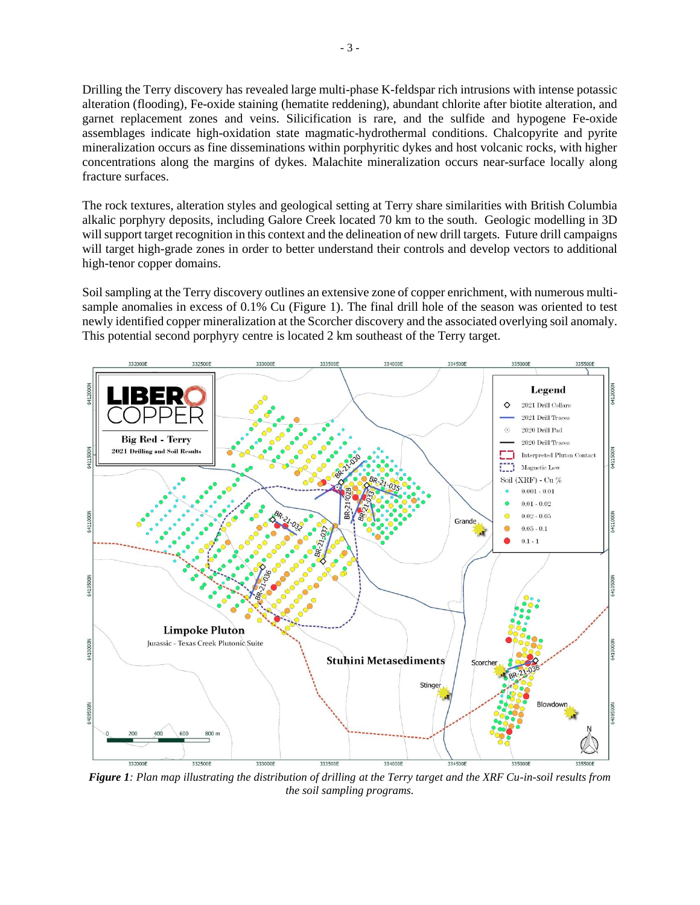Drilling the Terry discovery has revealed large multi-phase K-feldspar rich intrusions with intense potassic alteration (flooding), Fe-oxide staining (hematite reddening), abundant chlorite after biotite alteration, and garnet replacement zones and veins. Silicification is rare, and the sulfide and hypogene Fe-oxide assemblages indicate high-oxidation state magmatic-hydrothermal conditions. Chalcopyrite and pyrite mineralization occurs as fine disseminations within porphyritic dykes and host volcanic rocks, with higher concentrations along the margins of dykes. Malachite mineralization occurs near-surface locally along fracture surfaces.

The rock textures, alteration styles and geological setting at Terry share similarities with British Columbia alkalic porphyry deposits, including Galore Creek located 70 km to the south. Geologic modelling in 3D will support target recognition in this context and the delineation of new drill targets. Future drill campaigns will target high-grade zones in order to better understand their controls and develop vectors to additional high-tenor copper domains.

Soil sampling at the Terry discovery outlines an extensive zone of copper enrichment, with numerous multisample anomalies in excess of 0.1% Cu (Figure 1). The final drill hole of the season was oriented to test newly identified copper mineralization at the Scorcher discovery and the associated overlying soil anomaly. This potential second porphyry centre is located 2 km southeast of the Terry target.



*Figure 1: Plan map illustrating the distribution of drilling at the Terry target and the XRF Cu-in-soil results from the soil sampling programs.*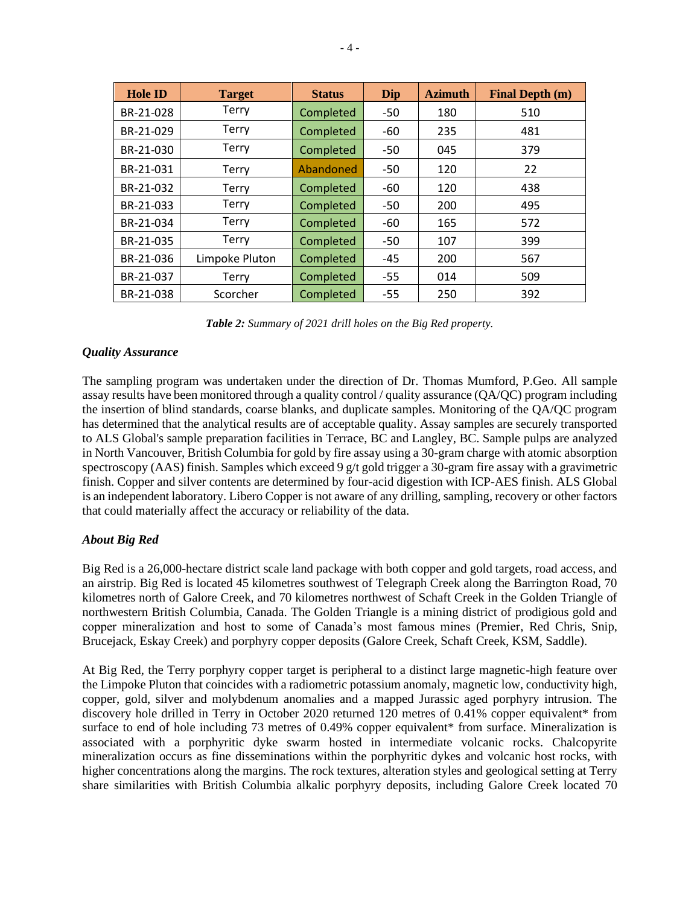| <b>Hole ID</b> | <b>Target</b>  | <b>Status</b> | Dip   | <b>Azimuth</b> | <b>Final Depth (m)</b> |
|----------------|----------------|---------------|-------|----------------|------------------------|
| BR-21-028      | <b>Terry</b>   | Completed     | -50   | 180            | 510                    |
| BR-21-029      | <b>Terry</b>   | Completed     | -60   | 235            | 481                    |
| BR-21-030      | <b>Terry</b>   | Completed     | $-50$ | 045            | 379                    |
| BR-21-031      | <b>Terry</b>   | Abandoned     | -50   | 120            | 22                     |
| BR-21-032      | <b>Terry</b>   | Completed     | $-60$ | 120            | 438                    |
| BR-21-033      | <b>Terry</b>   | Completed     | -50   | 200            | 495                    |
| BR-21-034      | <b>Terry</b>   | Completed     | -60   | 165            | 572                    |
| BR-21-035      | <b>Terry</b>   | Completed     | $-50$ | 107            | 399                    |
| BR-21-036      | Limpoke Pluton | Completed     | -45   | 200            | 567                    |
| BR-21-037      | <b>Terry</b>   | Completed     | $-55$ | 014            | 509                    |
| BR-21-038      | Scorcher       | Completed     | $-55$ | 250            | 392                    |

*Table 2: Summary of 2021 drill holes on the Big Red property.*

#### *Quality Assurance*

The sampling program was undertaken under the direction of Dr. Thomas Mumford, P.Geo. All sample assay results have been monitored through a quality control / quality assurance (QA/QC) program including the insertion of blind standards, coarse blanks, and duplicate samples. Monitoring of the QA/QC program has determined that the analytical results are of acceptable quality. Assay samples are securely transported to ALS Global's sample preparation facilities in Terrace, BC and Langley, BC. Sample pulps are analyzed in North Vancouver, British Columbia for gold by fire assay using a 30-gram charge with atomic absorption spectroscopy (AAS) finish. Samples which exceed 9 g/t gold trigger a 30-gram fire assay with a gravimetric finish. Copper and silver contents are determined by four-acid digestion with ICP-AES finish. ALS Global is an independent laboratory. Libero Copper is not aware of any drilling, sampling, recovery or other factors that could materially affect the accuracy or reliability of the data.

## *About Big Red*

Big Red is a 26,000-hectare district scale land package with both copper and gold targets, road access, and an airstrip. Big Red is located 45 kilometres southwest of Telegraph Creek along the Barrington Road, 70 kilometres north of Galore Creek, and 70 kilometres northwest of Schaft Creek in the Golden Triangle of northwestern British Columbia, Canada. The Golden Triangle is a mining district of prodigious gold and copper mineralization and host to some of Canada's most famous mines (Premier, Red Chris, Snip, Brucejack, Eskay Creek) and porphyry copper deposits (Galore Creek, Schaft Creek, KSM, Saddle).

At Big Red, the Terry porphyry copper target is peripheral to a distinct large magnetic-high feature over the Limpoke Pluton that coincides with a radiometric potassium anomaly, magnetic low, conductivity high, copper, gold, silver and molybdenum anomalies and a mapped Jurassic aged porphyry intrusion. The discovery hole drilled in Terry in October 2020 returned 120 metres of 0.41% copper equivalent\* from surface to end of hole including 73 metres of 0.49% copper equivalent\* from surface. Mineralization is associated with a porphyritic dyke swarm hosted in intermediate volcanic rocks. Chalcopyrite mineralization occurs as fine disseminations within the porphyritic dykes and volcanic host rocks, with higher concentrations along the margins. The rock textures, alteration styles and geological setting at Terry share similarities with British Columbia alkalic porphyry deposits, including Galore Creek located 70